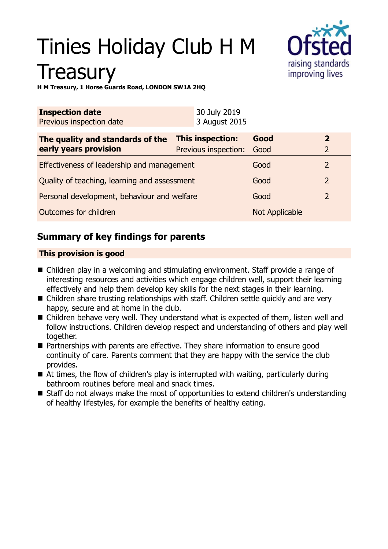# Tinies Holiday Club H M **Treasury**



**H M Treasury, 1 Horse Guards Road, LONDON SW1A 2HQ**

| <b>Inspection date</b><br>Previous inspection date        | 30 July 2019<br>3 August 2015            |                |                   |
|-----------------------------------------------------------|------------------------------------------|----------------|-------------------|
| The quality and standards of the<br>early years provision | This inspection:<br>Previous inspection: | Good<br>Good   | $\mathbf{2}$<br>2 |
| Effectiveness of leadership and management                |                                          | Good           | 2                 |
| Quality of teaching, learning and assessment              |                                          | Good           | $\overline{2}$    |
| Personal development, behaviour and welfare               |                                          | Good           | $\overline{2}$    |
| Outcomes for children                                     |                                          | Not Applicable |                   |

# **Summary of key findings for parents**

## **This provision is good**

- $\blacksquare$  Children play in a welcoming and stimulating environment. Staff provide a range of interesting resources and activities which engage children well, support their learning effectively and help them develop key skills for the next stages in their learning.
- Children share trusting relationships with staff. Children settle quickly and are very happy, secure and at home in the club.
- $\blacksquare$  Children behave very well. They understand what is expected of them, listen well and follow instructions. Children develop respect and understanding of others and play well together.
- Partnerships with parents are effective. They share information to ensure good continuity of care. Parents comment that they are happy with the service the club provides.
- $\blacksquare$  At times, the flow of children's play is interrupted with waiting, particularly during bathroom routines before meal and snack times.
- Staff do not always make the most of opportunities to extend children's understanding of healthy lifestyles, for example the benefits of healthy eating.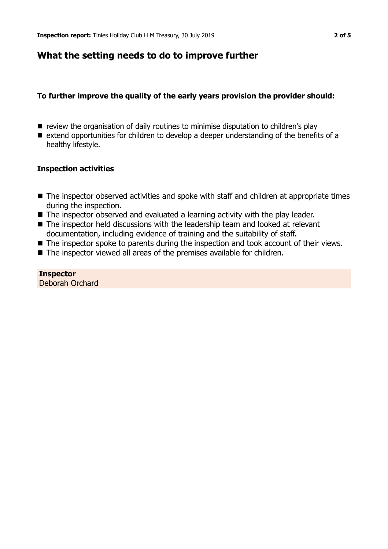# **What the setting needs to do to improve further**

## **To further improve the quality of the early years provision the provider should:**

- $\blacksquare$  review the organisation of daily routines to minimise disputation to children's play
- $\blacksquare$  extend opportunities for children to develop a deeper understanding of the benefits of a healthy lifestyle.

## **Inspection activities**

- $\blacksquare$  The inspector observed activities and spoke with staff and children at appropriate times during the inspection.
- $\blacksquare$  The inspector observed and evaluated a learning activity with the play leader.
- $\blacksquare$  The inspector held discussions with the leadership team and looked at relevant documentation, including evidence of training and the suitability of staff.
- $\blacksquare$  The inspector spoke to parents during the inspection and took account of their views.
- $\blacksquare$  The inspector viewed all areas of the premises available for children.

**Inspector** Deborah Orchard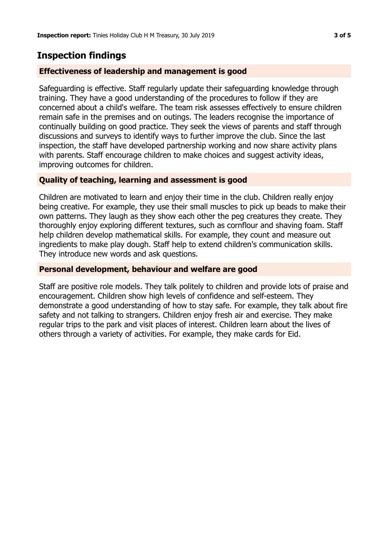# **Inspection findings**

#### **Effectiveness of leadership and management is good**

Safeguarding is effective. Staff regularly update their safeguarding knowledge through training. They have a good understanding of the procedures to follow if they are concerned about a child's welfare. The team risk assesses effectively to ensure children remain safe in the premises and on outings. The leaders recognise the importance of continually building on good practice. They seek the views of parents and staff through discussions and surveys to identify ways to further improve the club. Since the last inspection, the staff have developed partnership working and now share activity plans with parents. Staff encourage children to make choices and suggest activity ideas, improving outcomes for children.

#### **Quality of teaching, learning and assessment is good**

Children are motivated to learn and enjoy their time in the club. Children really enjoy being creative. For example, they use their small muscles to pick up beads to make their own patterns. They laugh as they show each other the peg creatures they create. They thoroughly enjoy exploring different textures, such as cornflour and shaving foam. Staff help children develop mathematical skills. For example, they count and measure out ingredients to make play dough. Staff help to extend children's communication skills. They introduce new words and ask questions.

#### **Personal development, behaviour and welfare are good**

Staff are positive role models. They talk politely to children and provide lots of praise and encouragement. Children show high levels of confidence and self-esteem. They demonstrate a good understanding of how to stay safe. For example, they talk about fire safety and not talking to strangers. Children enjoy fresh air and exercise. They make regular trips to the park and visit places of interest. Children learn about the lives of others through a variety of activities. For example, they make cards for Eid.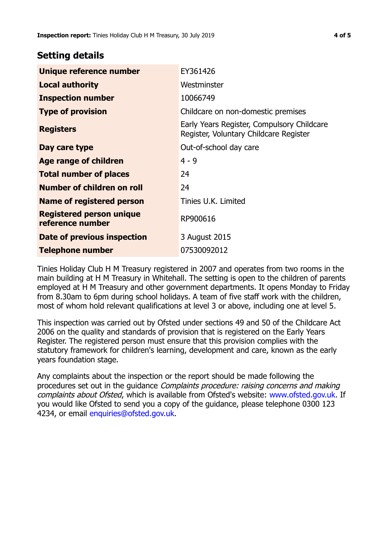## **Setting details**

| Unique reference number                             | EY361426                                                                             |  |
|-----------------------------------------------------|--------------------------------------------------------------------------------------|--|
| <b>Local authority</b>                              | Westminster                                                                          |  |
| <b>Inspection number</b>                            | 10066749                                                                             |  |
| <b>Type of provision</b>                            | Childcare on non-domestic premises                                                   |  |
| <b>Registers</b>                                    | Early Years Register, Compulsory Childcare<br>Register, Voluntary Childcare Register |  |
| Day care type                                       | Out-of-school day care                                                               |  |
| Age range of children                               | $4 - 9$                                                                              |  |
| <b>Total number of places</b>                       | 24                                                                                   |  |
| Number of children on roll                          | 24                                                                                   |  |
| <b>Name of registered person</b>                    | Tinies U.K. Limited                                                                  |  |
| <b>Registered person unique</b><br>reference number | RP900616                                                                             |  |
| Date of previous inspection                         | 3 August 2015                                                                        |  |
| <b>Telephone number</b>                             | 07530092012                                                                          |  |

Tinies Holiday Club H M Treasury registered in 2007 and operates from two rooms in the main building at H M Treasury in Whitehall. The setting is open to the children of parents employed at H M Treasury and other government departments. It opens Monday to Friday from 8.30am to 6pm during school holidays. A team of five staff work with the children, most of whom hold relevant qualifications at level 3 or above, including one at level 5.

This inspection was carried out by Ofsted under sections 49 and 50 of the Childcare Act 2006 on the quality and standards of provision that is registered on the Early Years Register. The registered person must ensure that this provision complies with the statutory framework for children's learning, development and care, known as the early years foundation stage.

Any complaints about the inspection or the report should be made following the procedures set out in the guidance Complaints procedure: raising concerns and making complaints about Ofsted, which is available from Ofsted's website: www.ofsted.gov.uk. If you would like Ofsted to send you a copy of the guidance, please telephone 0300 123 4234, or email [enquiries@ofsted.gov.uk.](mailto:enquiries@ofsted.gov.uk)